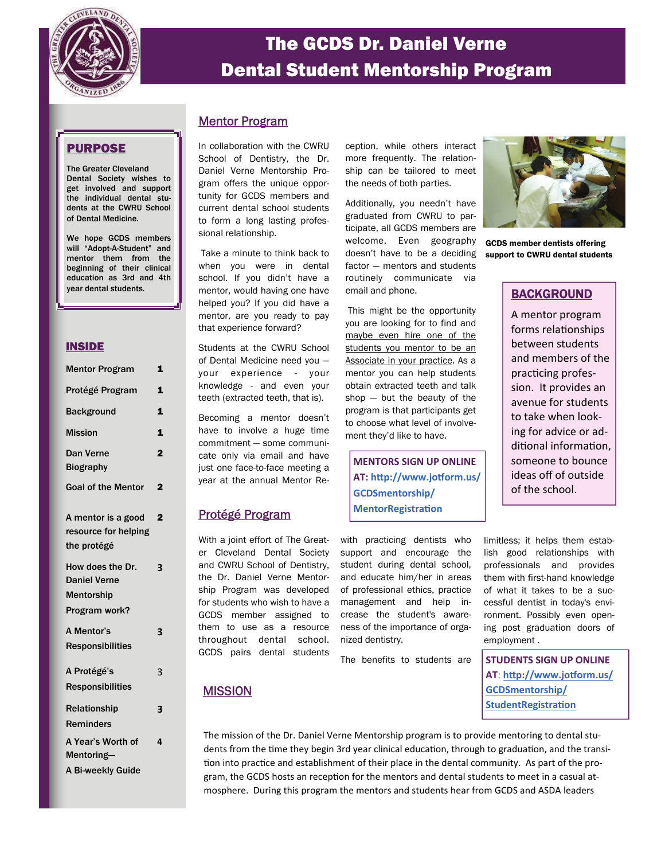

# The GCDS Dr. Daniel Verne Dental Student Mentorship Program

# PURPOSE

The Greater Cleveland Dental Society wishes to get involved and support the individual dental students at the CWRU School of Dental Medicine.

We hope GCDS members will "Adopt-A-Student" and mentor them from the beginning of their clinical education as 3rd and 4th year dental students.

### INSIDE

| <b>Mentor Program</b>                                                         | 1              |
|-------------------------------------------------------------------------------|----------------|
| Protégé Program                                                               | 1              |
| <b>Background</b>                                                             | 1              |
| <b>Mission</b>                                                                | 1              |
| Dan Verne<br><b>Biography</b>                                                 | $\overline{2}$ |
| <b>Goal of the Mentor</b>                                                     | $\overline{2}$ |
| A mentor is a good<br>resource for helping<br>the protégé                     | $\overline{2}$ |
| How does the Dr.<br><b>Daniel Verne</b><br><b>Mentorship</b><br>Program work? | 3              |
| A Mentor's<br><b>Responsibilities</b>                                         | 3              |
| A Protégé's<br><b>Responsibilities</b>                                        | 3              |
| Relationship<br><b>Reminders</b>                                              | 3              |
| A Year's Worth of<br>Mentoring-<br>A Bi-weekly Guide                          | 4              |
|                                                                               |                |

# Mentor Program

In collaboration with the CWRU School of Dentistry, the Dr. Daniel Verne Mentorship Program offers the unique opportunity for GCDS members and current dental school students to form a long lasting professional relationship.

 Take a minute to think back to when you were in dental school. If you didn't have a mentor, would having one have helped you? If you did have a mentor, are you ready to pay that experience forward?

Students at the CWRU School of Dental Medicine need you your experience - your knowledge - and even your teeth (extracted teeth, that is).

Becoming a mentor doesn't have to involve a huge time commitment — some communicate only via email and have just one face-to-face meeting a year at the annual Mentor Re-

### Protégé Program

**MISSION** 

With a joint effort of The Greater Cleveland Dental Society and CWRU School of Dentistry, the Dr. Daniel Verne Mentorship Program was developed for students who wish to have a GCDS member assigned to them to use as a resource throughout dental school. GCDS pairs dental students

ception, while others interact more frequently. The relationship can be tailored to meet the needs of both parties.

Additionally, you needn't have graduated from CWRU to participate, all GCDS members are welcome. Even geography doesn't have to be a deciding factor — mentors and students routinely communicate via email and phone.

 This might be the opportunity you are looking for to find and maybe even hire one of the students you mentor to be an Associate in your practice. As a mentor you can help students obtain extracted teeth and talk shop — but the beauty of the program is that participants get to choose what level of involvement they'd like to have.

**MENTORS SIGN UP ONLINE AT: hƩp://www.joƞorm.us/ GCDSmentorship/ MentorRegistraƟon**

with practicing dentists who support and encourage the student during dental school, and educate him/her in areas of professional ethics, practice management and help increase the student's awareness of the importance of organized dentistry.

The benefits to students are



GCDS member dentists offering support to CWRU dental students

# **BACKGROUND**

A mentor program forms relationships between students and members of the practicing profession. It provides an avenue for students to take when looking for advice or additional information, someone to bounce ideas off of outside of the school.

limitless; it helps them establish good relationships with professionals and provides them with first-hand knowledge of what it takes to be a successful dentist in today's environment. Possibly even opening post graduation doors of employment .

**STUDENTS SIGN UP ONLINE AT**: **hƩ[p://www.jo](http://www.jotform.us/GCDSmentorship/StudentRegistration)ƞorm.us/ [GCDSmentorship/](http://www.jotform.us/GCDSmentorship/StudentRegistration) [StudentRegistra](http://www.jotform.us/GCDSmentorship/StudentRegistration)Ɵon**

The mission of the Dr. Daniel Verne Mentorship program is to provide mentoring to dental students from the time they begin 3rd year clinical education, through to graduation, and the transition into practice and establishment of their place in the dental community. As part of the program, the GCDS hosts an reception for the mentors and dental students to meet in a casual atmosphere. During this program the mentors and students hear from GCDS and ASDA leaders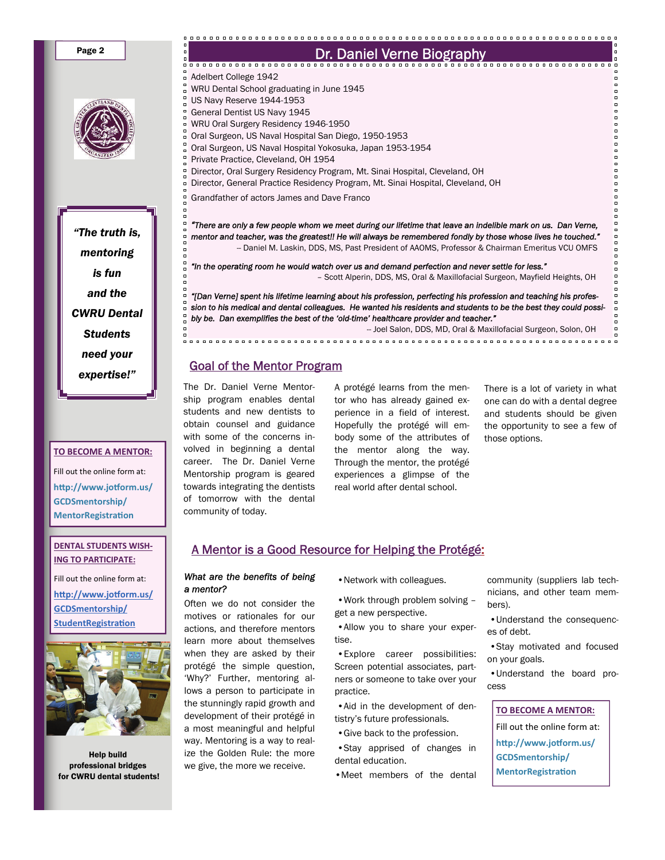Page 2

*"The truth is, mentoring is fun and the CWRU Dental Students need your expertise!"* 

#### **TO BECOME A MENTOR:**

Fill out the online form at: **hƩp://www.joƞorm.us/ GCDSmentorship/ MentorRegistraƟon** 

#### **DENTAL STUDENTS WISH‐ ING TO PARTICIPATE:**

Fill out the online form at: **hƩ[p://www.jo](http://www.jotform.us/GCDSmentorship/StudentRegistration)ƞorm.us/ [GCDSmentorship/](http://www.jotform.us/GCDSmentorship/StudentRegistration) [StudentRegistra](http://www.jotform.us/GCDSmentorship/StudentRegistration)Ɵon**



Help build professional bridges for CWRU dental students!

| ۰      | Dr. Daniel Verne Biography                                                                                                           |
|--------|--------------------------------------------------------------------------------------------------------------------------------------|
|        |                                                                                                                                      |
|        | □ Adelbert College 1942                                                                                                              |
|        | WRU Dental School graduating in June 1945                                                                                            |
|        | $^{\circ}$ US Navy Reserve 1944-1953                                                                                                 |
|        | General Dentist US Navy 1945                                                                                                         |
|        | WRU Oral Surgery Residency 1946-1950                                                                                                 |
|        | Oral Surgeon, US Naval Hospital San Diego, 1950-1953                                                                                 |
|        | oral Surgeon, US Naval Hospital Yokosuka, Japan 1953-1954                                                                            |
|        | Private Practice, Cleveland, OH 1954                                                                                                 |
|        | <sup>n</sup> Director, Oral Surgery Residency Program, Mt. Sinai Hospital, Cleveland, OH                                             |
|        | Director, General Practice Residency Program, Mt. Sinai Hospital, Cleveland, OH                                                      |
|        | Grandfather of actors James and Dave Franco                                                                                          |
|        |                                                                                                                                      |
|        | "There are only a few people whom we meet during our lifetime that leave an indelible mark on us. Dan Verne,                         |
|        | $\,\circ\,$ mentor and teacher, was the greatest!! He will always be remembered fondly by those whose lives he touched."             |
|        | -- Daniel M. Laskin, DDS, MS, Past President of AAOMS, Professor & Chairman Emeritus VCU OMFS                                        |
|        |                                                                                                                                      |
| ő      | "In the operating room he would watch over us and demand perfection and never settle for less."                                      |
| d<br>d | - Scott Alperin, DDS, MS, Oral & Maxillofacial Surgeon, Mayfield Heights, OH                                                         |
|        | □ "[Dan Verne] spent his lifetime learning about his profession, perfecting his profession and teaching his profes-                  |
|        | $\scriptstyle\rm o$ sion to his medical and dental colleagues. He wanted his residents and students to be the best they could possi- |
|        | $^{\circ} _{\circ}$ bly be. Dan exemplifies the best of the 'old-time' healthcare provider and teacher."                             |
| n      | -- Joel Salon, DDS, MD, Oral & Maxillofacial Surgeon, Solon, OH                                                                      |

Goal of the Mentor Program

The Dr. Daniel Verne Mentorship program enables dental students and new dentists to obtain counsel and guidance with some of the concerns involved in beginning a dental career. The Dr. Daniel Verne Mentorship program is geared towards integrating the dentists of tomorrow with the dental community of today.

A protégé learns from the mentor who has already gained experience in a field of interest. Hopefully the protégé will embody some of the attributes of the mentor along the way. Through the mentor, the protégé experiences a glimpse of the real world after dental school.

There is a lot of variety in what one can do with a dental degree and students should be given the opportunity to see a few of those options.

ooo<br>Doo

 $\alpha$  $\begin{array}{c} 0 \\ 0 \end{array}$ 

 $\Box$  $\overline{a}$ 

 $\overline{a}$ 

# A Mentor is a Good Resource for Helping the Protégé:

#### *What are the benefits of being a mentor?*

Often we do not consider the motives or rationales for our actions, and therefore mentors learn more about themselves when they are asked by their protégé the simple question, 'Why?' Further, mentoring allows a person to participate in the stunningly rapid growth and development of their protégé in a most meaningful and helpful way. Mentoring is a way to realize the Golden Rule: the more we give, the more we receive.

•Network with colleagues.

 •Work through problem solving – get a new perspective.

 •Allow you to share your expertise.

 •Explore career possibilities: Screen potential associates, partners or someone to take over your practice.

 •Aid in the development of dentistry's future professionals.

•Give back to the profession.

 •Stay apprised of changes in dental education.

•Meet members of the dental

community (suppliers lab technicians, and other team members).

 •Understand the consequences of debt.

 •Stay motivated and focused on your goals.

 •Understand the board process

**TO BECOME A MENTOR:** Fill out the online form at: **hƩp://www.joƞorm.us/ GCDSmentorship/ MentorRegistraƟon**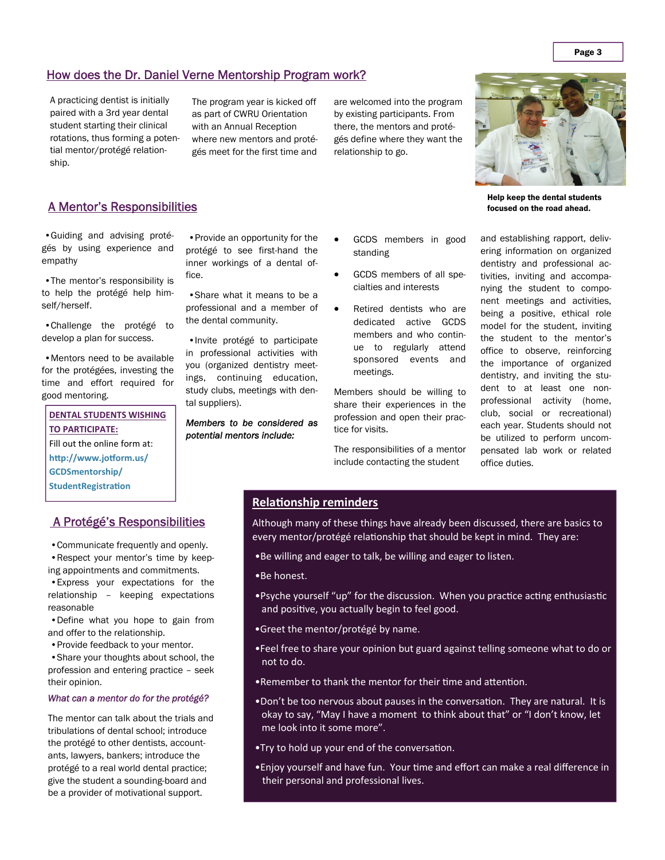## How does the Dr. Daniel Verne Mentorship Program work?

A practicing dentist is initially paired with a 3rd year dental student starting their clinical rotations, thus forming a potential mentor/protégé relationship.

The program year is kicked off as part of CWRU Orientation with an Annual Reception where new mentors and protégés meet for the first time and

are welcomed into the program by existing participants. From there, the mentors and protégés define where they want the relationship to go.



Help keep the dental students focused on the road ahead.

and establishing rapport, delivering information on organized dentistry and professional activities, inviting and accompanying the student to component meetings and activities, being a positive, ethical role model for the student, inviting the student to the mentor's office to observe, reinforcing the importance of organized dentistry, and inviting the student to at least one nonprofessional activity (home, club, social or recreational) each year. Students should not be utilized to perform uncompensated lab work or related office duties.

### A Mentor's Responsibilities

 •Guiding and advising protégés by using experience and empathy

 •The mentor's responsibility is to help the protégé help himself/herself.

 •Challenge the protégé to develop a plan for success.

 •Mentors need to be available for the protégées, investing the time and effort required for good mentoring.

#### **DENTAL STUDENTS WISHING TO PARTICIPATE:**

Fill out the online form at:

**hƩp://www.joƞorm.us/**

**GCDSmentorship/**

**StudentRegistraƟon** 

## A Protégé's Responsibilities

•Communicate frequently and openly.

 •Respect your mentor's time by keeping appointments and commitments.

 •Express your expectations for the relationship – keeping expectations reasonable

 •Define what you hope to gain from and offer to the relationship.

•Provide feedback to your mentor.

 •Share your thoughts about school, the profession and entering practice – seek their opinion.

#### *What can a mentor do for the protégé?*

The mentor can talk about the trials and tribulations of dental school; introduce the protégé to other dentists, accountants, lawyers, bankers; introduce the protégé to a real world dental practice; give the student a sounding-board and be a provider of motivational support.

 •Provide an opportunity for the protégé to see first-hand the inner workings of a dental office.

 •Share what it means to be a professional and a member of the dental community.

 •Invite protégé to participate in professional activities with you (organized dentistry meetings, continuing education, study clubs, meetings with dental suppliers).

*Members to be considered as potential mentors include:* 

- GCDS members in good standing
- GCDS members of all specialties and interests
- Retired dentists who are dedicated active GCDS members and who continue to regularly attend sponsored events and meetings.

Members should be willing to share their experiences in the profession and open their practice for visits.

The responsibilities of a mentor include contacting the student

### **RelaƟonship reminders**

Although many of these things have already been discussed, there are basics to every mentor/protégé relationship that should be kept in mind. They are:

- •Be willing and eager to talk, be willing and eager to listen.
- •Be honest.
- •Psyche yourself "up" for the discussion. When you practice acting enthusiastic and positive, you actually begin to feel good.
- •Greet the mentor/protégé by name.
- •Feel free to share your opinion but guard against telling someone what to do or not to do.
- •Remember to thank the mentor for their time and attention.
- •Don't be too nervous about pauses in the conversation. They are natural. It is okay to say, "May I have a moment to think about that" or "I don't know, let me look into it some more".
- •Try to hold up your end of the conversation.
- •Enjoy yourself and have fun. Your time and effort can make a real difference in their personal and professional lives.

Page 3